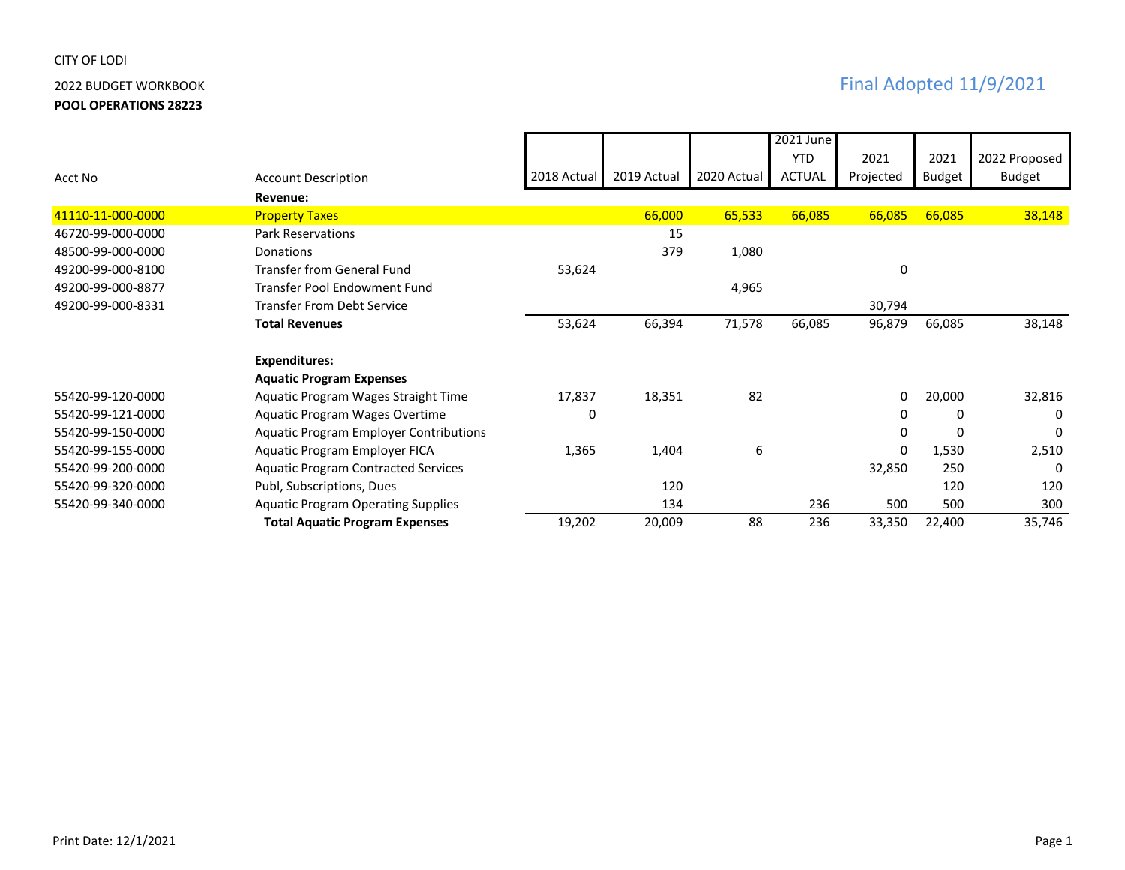## CITY OF LODI

**POOL OPERATIONS 28223**

|                   |                                               |             |             |             | 2021 June     |           |               |               |
|-------------------|-----------------------------------------------|-------------|-------------|-------------|---------------|-----------|---------------|---------------|
|                   |                                               |             |             |             | <b>YTD</b>    | 2021      | 2021          | 2022 Proposed |
| Acct No           | <b>Account Description</b>                    | 2018 Actual | 2019 Actual | 2020 Actual | <b>ACTUAL</b> | Projected | <b>Budget</b> | Budget        |
|                   | Revenue:                                      |             |             |             |               |           |               |               |
| 41110-11-000-0000 | <b>Property Taxes</b>                         |             | 66,000      | 65,533      | 66,085        | 66,085    | 66,085        | 38,148        |
| 46720-99-000-0000 | <b>Park Reservations</b>                      |             | 15          |             |               |           |               |               |
| 48500-99-000-0000 | Donations                                     |             | 379         | 1,080       |               |           |               |               |
| 49200-99-000-8100 | <b>Transfer from General Fund</b>             | 53,624      |             |             |               | 0         |               |               |
| 49200-99-000-8877 | Transfer Pool Endowment Fund                  |             |             | 4,965       |               |           |               |               |
| 49200-99-000-8331 | <b>Transfer From Debt Service</b>             |             |             |             |               | 30,794    |               |               |
|                   | <b>Total Revenues</b>                         | 53,624      | 66,394      | 71,578      | 66,085        | 96,879    | 66,085        | 38,148        |
|                   |                                               |             |             |             |               |           |               |               |
|                   | <b>Expenditures:</b>                          |             |             |             |               |           |               |               |
|                   | <b>Aquatic Program Expenses</b>               |             |             |             |               |           |               |               |
| 55420-99-120-0000 | Aquatic Program Wages Straight Time           | 17,837      | 18,351      | 82          |               | 0         | 20,000        | 32,816        |
| 55420-99-121-0000 | Aquatic Program Wages Overtime                | 0           |             |             |               | 0         | 0             | $\Omega$      |
| 55420-99-150-0000 | <b>Aquatic Program Employer Contributions</b> |             |             |             |               | 0         | 0             | 0             |
| 55420-99-155-0000 | Aquatic Program Employer FICA                 | 1,365       | 1,404       | 6           |               | 0         | 1,530         | 2,510         |
| 55420-99-200-0000 | <b>Aquatic Program Contracted Services</b>    |             |             |             |               | 32,850    | 250           | $\Omega$      |
| 55420-99-320-0000 | Publ, Subscriptions, Dues                     |             | 120         |             |               |           | 120           | 120           |
| 55420-99-340-0000 | <b>Aquatic Program Operating Supplies</b>     |             | 134         |             | 236           | 500       | 500           | 300           |
|                   | <b>Total Aquatic Program Expenses</b>         | 19,202      | 20,009      | 88          | 236           | 33,350    | 22,400        | 35,746        |